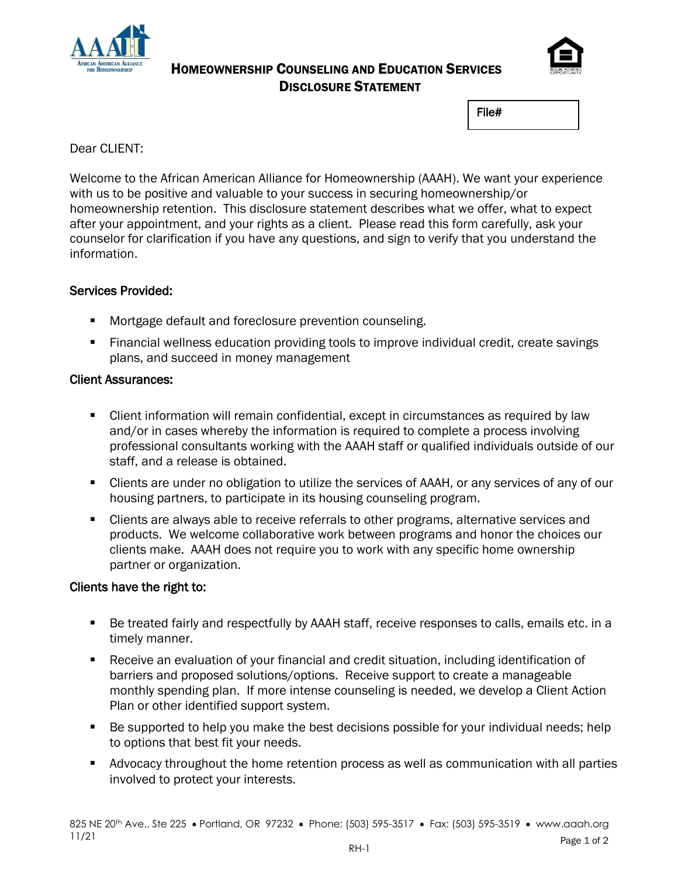

#### HOMEOWNERSHIP COUNSELING AND EDUCATION SERVICES DISCLOSURE STATEMENT



File#

#### Dear CLIENT:

Welcome to the African American Alliance for Homeownership (AAAH). We want your experience with us to be positive and valuable to your success in securing homeownership/or homeownership retention. This disclosure statement describes what we offer, what to expect after your appointment, and your rights as a client. Please read this form carefully, ask your counselor for clarification if you have any questions, and sign to verify that you understand the information.

#### Services Provided:

- Mortgage default and foreclosure prevention counseling.
- Financial wellness education providing tools to improve individual credit, create savings plans, and succeed in money management

#### Client Assurances:

- **EXECT** Client information will remain confidential, except in circumstances as required by law and/or in cases whereby the information is required to complete a process involving professional consultants working with the AAAH staff or qualified individuals outside of our staff, and a release is obtained.
- Clients are under no obligation to utilize the services of AAAH, or any services of any of our housing partners, to participate in its housing counseling program.
- Clients are always able to receive referrals to other programs, alternative services and products. We welcome collaborative work between programs and honor the choices our clients make. AAAH does not require you to work with any specific home ownership partner or organization.

#### Clients have the right to:

- Be treated fairly and respectfully by AAAH staff, receive responses to calls, emails etc. in a timely manner.
- Receive an evaluation of your financial and credit situation, including identification of barriers and proposed solutions/options. Receive support to create a manageable monthly spending plan. If more intense counseling is needed, we develop a Client Action Plan or other identified support system.
- Be supported to help you make the best decisions possible for your individual needs; help to options that best fit your needs.
- Advocacy throughout the home retention process as well as communication with all parties involved to protect your interests.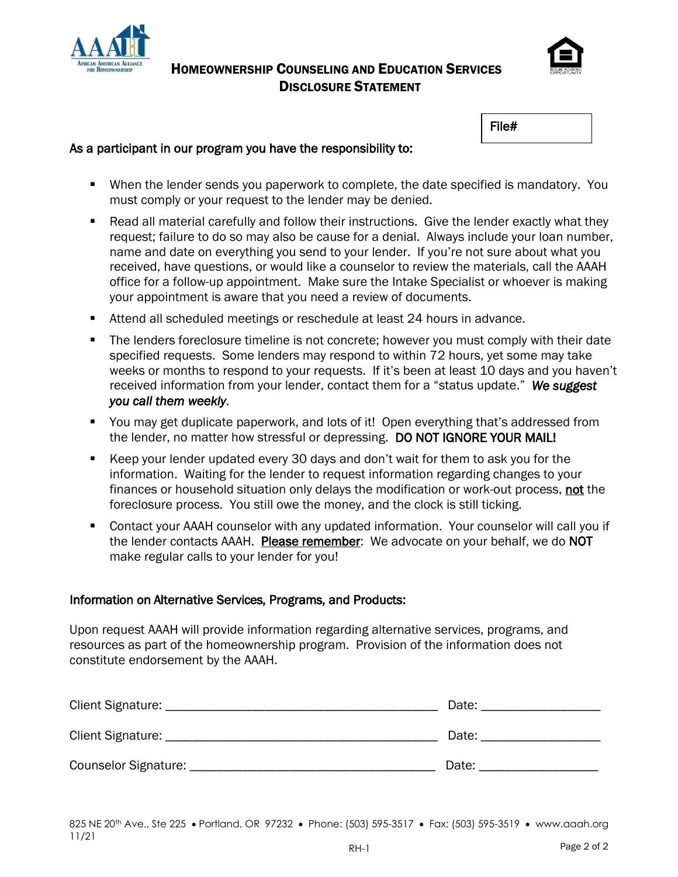

#### HOMEOWNERSHIP COUNSELING AND EDUCATION SERVICES DISCLOSURE STATEMENT



File#

#### As a participant in our program you have the responsibility to:

- When the lender sends you paperwork to complete, the date specified is mandatory. You must comply or your request to the lender may be denied.
- Read all material carefully and follow their instructions. Give the lender exactly what they request; failure to do so may also be cause for a denial. Always include your loan number, name and date on everything you send to your lender. If you're not sure about what you received, have questions, or would like a counselor to review the materials, call the AAAH office for a follow-up appointment. Make sure the Intake Specialist or whoever is making your appointment is aware that you need a review of documents.
- Attend all scheduled meetings or reschedule at least 24 hours in advance.
- **The lenders foreclosure timeline is not concrete; however you must comply with their date** specified requests. Some lenders may respond to within 72 hours, yet some may take weeks or months to respond to your requests. If it's been at least 10 days and you haven't received information from your lender, contact them for a "status update." *We suggest you call them weekly*.
- You may get duplicate paperwork, and lots of it! Open everything that's addressed from the lender, no matter how stressful or depressing. DO NOT IGNORE YOUR MAIL!
- Keep your lender updated every 30 days and don't wait for them to ask you for the information. Waiting for the lender to request information regarding changes to your finances or household situation only delays the modification or work-out process, not the foreclosure process. You still owe the money, and the clock is still ticking.
- Contact your AAAH counselor with any updated information. Your counselor will call you if the lender contacts AAAH. Please remember: We advocate on your behalf, we do NOT make regular calls to your lender for you!

#### Information on Alternative Services, Programs, and Products:

Upon request AAAH will provide information regarding alternative services, programs, and resources as part of the homeownership program. Provision of the information does not constitute endorsement by the AAAH.

| Client Signature:    | Date: |
|----------------------|-------|
| Client Signature:    | Date: |
| Counselor Signature: | Date: |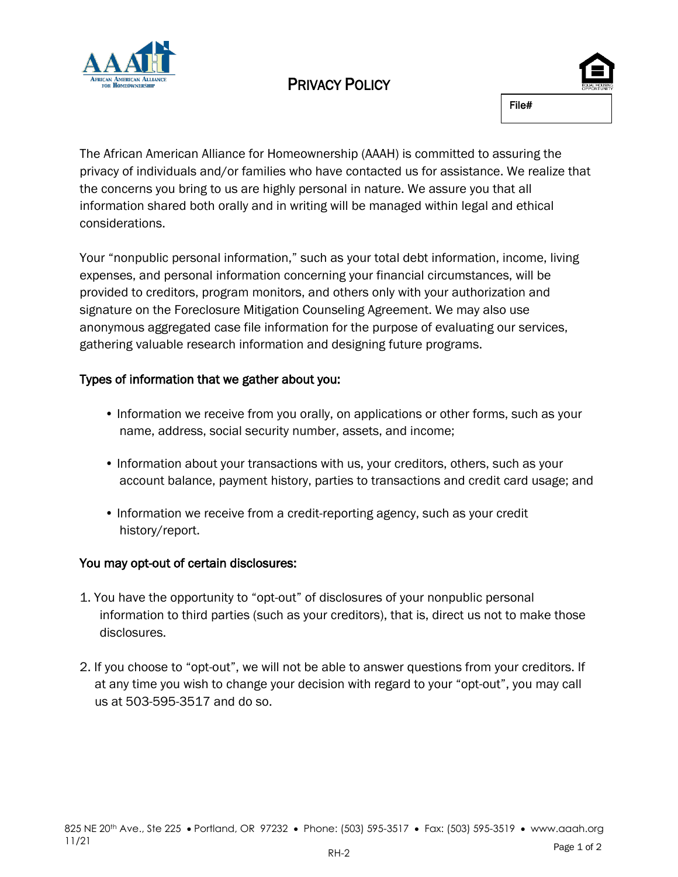

# PRIVACY POLICY



The African American Alliance for Homeownership (AAAH) is committed to assuring the privacy of individuals and/or families who have contacted us for assistance. We realize that the concerns you bring to us are highly personal in nature. We assure you that all information shared both orally and in writing will be managed within legal and ethical considerations.

Your "nonpublic personal information," such as your total debt information, income, living expenses, and personal information concerning your financial circumstances, will be provided to creditors, program monitors, and others only with your authorization and signature on the Foreclosure Mitigation Counseling Agreement. We may also use anonymous aggregated case file information for the purpose of evaluating our services, gathering valuable research information and designing future programs.

#### Types of information that we gather about you:

- Information we receive from you orally, on applications or other forms, such as your name, address, social security number, assets, and income;
- Information about your transactions with us, your creditors, others, such as your account balance, payment history, parties to transactions and credit card usage; and
- Information we receive from a credit-reporting agency, such as your credit history/report.

#### You may opt-out of certain disclosures:

- 1. You have the opportunity to "opt-out" of disclosures of your nonpublic personal information to third parties (such as your creditors), that is, direct us not to make those disclosures.
- 2. If you choose to "opt-out", we will not be able to answer questions from your creditors. If at any time you wish to change your decision with regard to your "opt-out", you may call us at 503-595-3517 and do so.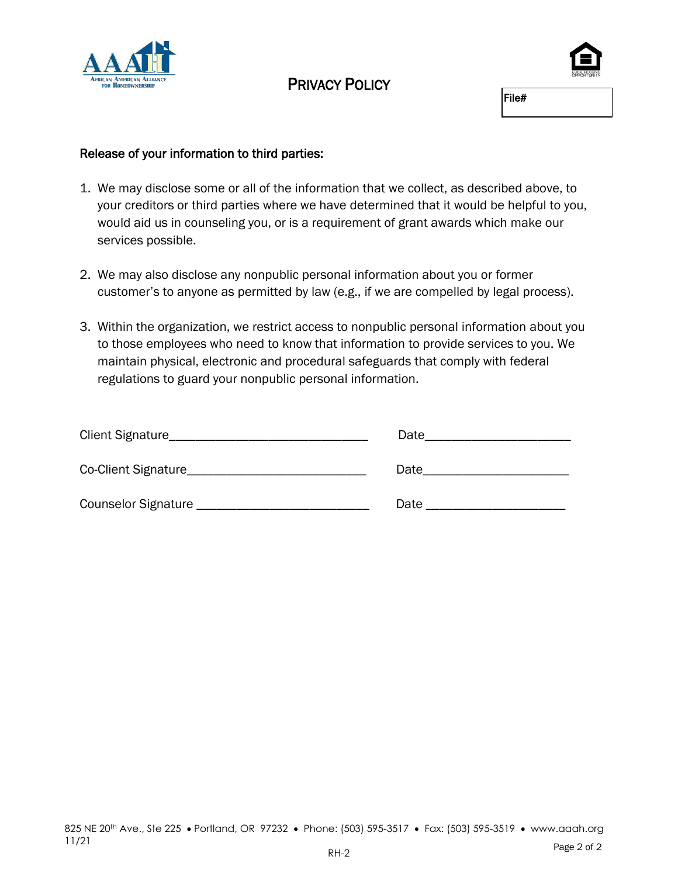

## PRIVACY POLICY

File#

#### Release of your information to third parties:

- 1. We may disclose some or all of the information that we collect, as described above, to your creditors or third parties where we have determined that it would be helpful to you, would aid us in counseling you, or is a requirement of grant awards which make our services possible.
- 2. We may also disclose any nonpublic personal information about you or former customer's to anyone as permitted by law (e.g., if we are compelled by legal process).
- 3. Within the organization, we restrict access to nonpublic personal information about you to those employees who need to know that information to provide services to you. We maintain physical, electronic and procedural safeguards that comply with federal regulations to guard your nonpublic personal information.

| Client Signature           | Date |
|----------------------------|------|
| Co-Client Signature        | Date |
| <b>Counselor Signature</b> | Date |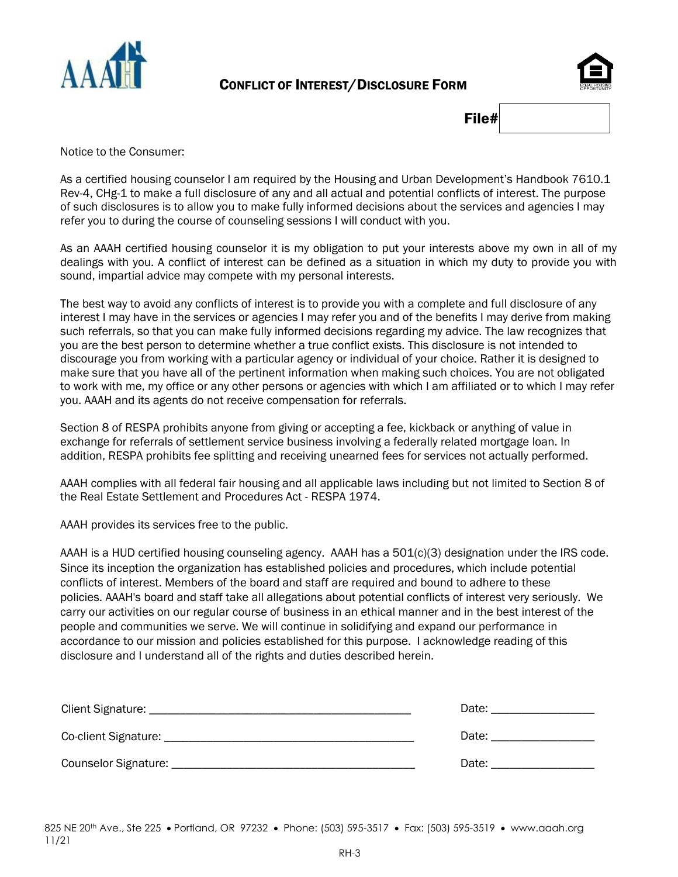

#### CONFLICT OF INTEREST/DISCLOSURE FORM



File#

Notice to the Consumer:

As a certified housing counselor I am required by the Housing and Urban Development's Handbook 7610.1 Rev-4, CHg-1 to make a full disclosure of any and all actual and potential conflicts of interest. The purpose of such disclosures is to allow you to make fully informed decisions about the services and agencies I may refer you to during the course of counseling sessions I will conduct with you.

As an AAAH certified housing counselor it is my obligation to put your interests above my own in all of my dealings with you. A conflict of interest can be defined as a situation in which my duty to provide you with sound, impartial advice may compete with my personal interests.

The best way to avoid any conflicts of interest is to provide you with a complete and full disclosure of any interest I may have in the services or agencies I may refer you and of the benefits I may derive from making such referrals, so that you can make fully informed decisions regarding my advice. The law recognizes that you are the best person to determine whether a true conflict exists. This disclosure is not intended to discourage you from working with a particular agency or individual of your choice. Rather it is designed to make sure that you have all of the pertinent information when making such choices. You are not obligated to work with me, my office or any other persons or agencies with which I am affiliated or to which I may refer you. AAAH and its agents do not receive compensation for referrals.

Section 8 of RESPA prohibits anyone from giving or accepting a fee, kickback or anything of value in exchange for referrals of settlement service business involving a federally related mortgage loan. In addition, RESPA prohibits fee splitting and receiving unearned fees for services not actually performed.

AAAH complies with all federal fair housing and all applicable laws including but not limited to Section 8 of the Real Estate Settlement and Procedures Act - RESPA 1974.

AAAH provides its services free to the public.

AAAH is a HUD certified housing counseling agency. AAAH has a 501(c)(3) designation under the IRS code. Since its inception the organization has established policies and procedures, which include potential conflicts of interest. Members of the board and staff are required and bound to adhere to these policies. AAAH's board and staff take all allegations about potential conflicts of interest very seriously. We carry our activities on our regular course of business in an ethical manner and in the best interest of the people and communities we serve. We will continue in solidifying and expand our performance in accordance to our mission and policies established for this purpose. I acknowledge reading of this disclosure and I understand all of the rights and duties described herein.

| Client Signature: ___________________    | Date: |
|------------------------------------------|-------|
| Co-client Signature: ___________________ | Date: |
| Counselor Signature: _                   | Date: |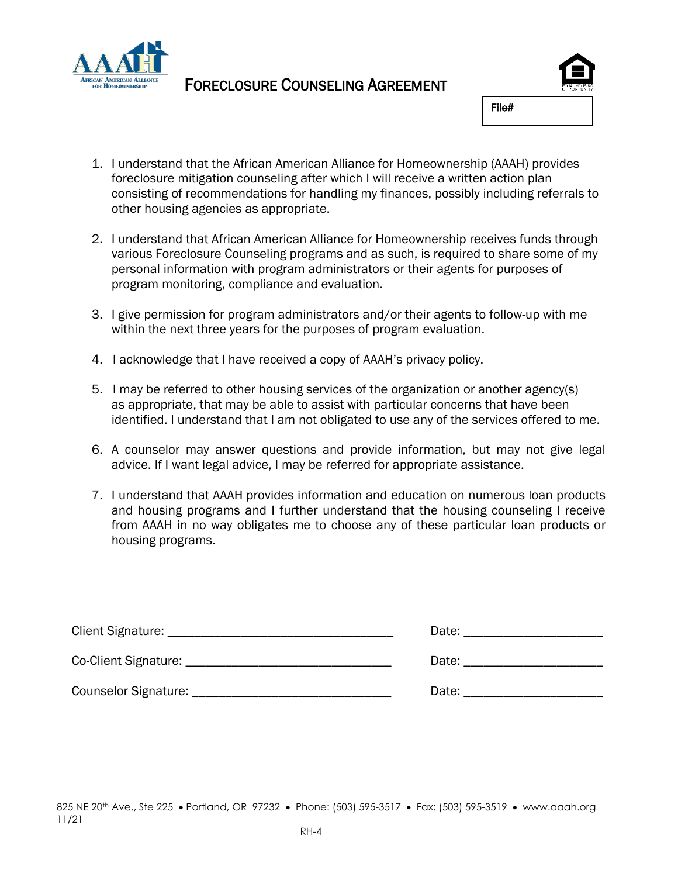

### FORECLOSURE COUNSELING AGREEMENT



File#

- 1. I understand that the African American Alliance for Homeownership (AAAH) provides foreclosure mitigation counseling after which I will receive a written action plan consisting of recommendations for handling my finances, possibly including referrals to other housing agencies as appropriate.
- 2. I understand that African American Alliance for Homeownership receives funds through various Foreclosure Counseling programs and as such, is required to share some of my personal information with program administrators or their agents for purposes of program monitoring, compliance and evaluation.
- 3. I give permission for program administrators and/or their agents to follow-up with me within the next three years for the purposes of program evaluation.
- 4. I acknowledge that I have received a copy of AAAH's privacy policy.
- 5. I may be referred to other housing services of the organization or another agency(s) as appropriate, that may be able to assist with particular concerns that have been identified. I understand that I am not obligated to use any of the services offered to me.
- 6. A counselor may answer questions and provide information, but may not give legal advice. If I want legal advice, I may be referred for appropriate assistance.
- 7. I understand that AAAH provides information and education on numerous loan products and housing programs and I further understand that the housing counseling I receive from AAAH in no way obligates me to choose any of these particular loan products or housing programs.

|                                        | Date: the contract of the contract of the contract of the contract of the contract of the contract of the contract of the contract of the contract of the contract of the contract of the contract of the contract of the cont |
|----------------------------------------|--------------------------------------------------------------------------------------------------------------------------------------------------------------------------------------------------------------------------------|
|                                        | Date: the contract of the contract of the contract of the contract of the contract of the contract of the contract of the contract of the contract of the contract of the contract of the contract of the contract of the cont |
| Counselor Signature: _________________ | Date:                                                                                                                                                                                                                          |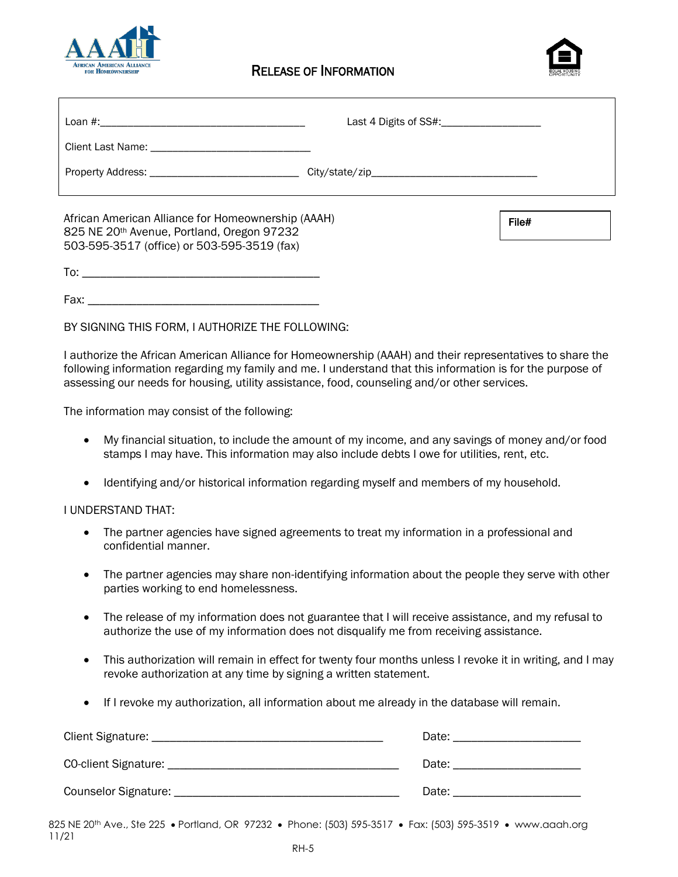



| African American Alliance for Homeownership (AAAH)<br>825 NE 20th Avenue, Portland, Oregon 97232<br>503-595-3517 (office) or 503-595-3519 (fax) | File# |
|-------------------------------------------------------------------------------------------------------------------------------------------------|-------|
|                                                                                                                                                 |       |

Fax:  $\Box$ 

BY SIGNING THIS FORM, I AUTHORIZE THE FOLLOWING:

I authorize the African American Alliance for Homeownership (AAAH) and their representatives to share the following information regarding my family and me. I understand that this information is for the purpose of assessing our needs for housing, utility assistance, food, counseling and/or other services.

The information may consist of the following:

- My financial situation, to include the amount of my income, and any savings of money and/or food stamps I may have. This information may also include debts I owe for utilities, rent, etc.
- Identifying and/or historical information regarding myself and members of my household.

#### I UNDERSTAND THAT:

- The partner agencies have signed agreements to treat my information in a professional and confidential manner.
- The partner agencies may share non-identifying information about the people they serve with other parties working to end homelessness.
- The release of my information does not guarantee that I will receive assistance, and my refusal to authorize the use of my information does not disqualify me from receiving assistance.
- This authorization will remain in effect for twenty four months unless I revoke it in writing, and I may revoke authorization at any time by signing a written statement.
- If I revoke my authorization, all information about me already in the database will remain.

| Client Signature:    | Date: |
|----------------------|-------|
| CO-client Signature: | Date: |
| Counselor Signature: | Date: |

825 NE 20th Ave., Ste 225 • Portland, OR 97232 • Phone: (503) 595-3517 • Fax: (503) 595-3519 • www.aaah.org 11/21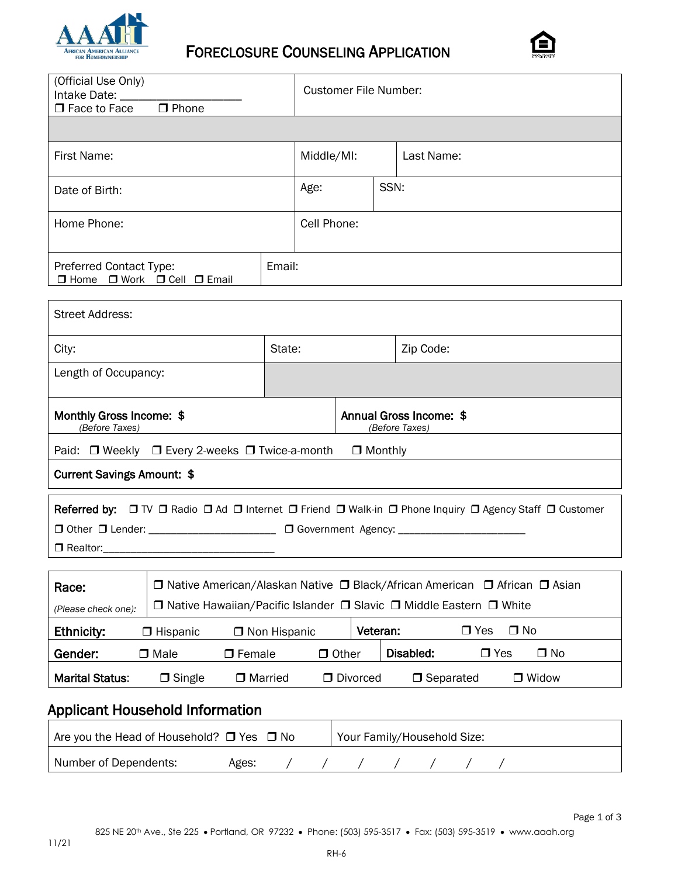

# FORECLOSURE COUNSELING APPLICATION



| (Official Use Only)<br>Intake Date: ____<br>$\Box$ Phone<br>$\Box$ Face to Face                                                                                                     |                     | <b>Customer File Number:</b> |          |                                                                                                        |  |
|-------------------------------------------------------------------------------------------------------------------------------------------------------------------------------------|---------------------|------------------------------|----------|--------------------------------------------------------------------------------------------------------|--|
| First Name:                                                                                                                                                                         |                     | Middle/MI:<br>Last Name:     |          |                                                                                                        |  |
| Date of Birth:                                                                                                                                                                      |                     | SSN:<br>Age:                 |          |                                                                                                        |  |
| Home Phone:                                                                                                                                                                         |                     | Cell Phone:                  |          |                                                                                                        |  |
| Preferred Contact Type:<br>□ Home □ Work □ Cell □ Email                                                                                                                             | Email:              |                              |          |                                                                                                        |  |
| <b>Street Address:</b>                                                                                                                                                              |                     |                              |          |                                                                                                        |  |
| City:                                                                                                                                                                               | State:<br>Zip Code: |                              |          |                                                                                                        |  |
| Length of Occupancy:                                                                                                                                                                |                     |                              |          |                                                                                                        |  |
| Monthly Gross Income: \$<br>(Before Taxes)                                                                                                                                          |                     |                              |          | Annual Gross Income: \$<br>(Before Taxes)                                                              |  |
| Paid: □ Weekly □ Every 2-weeks □ Twice-a-month                                                                                                                                      |                     | $\Box$ Monthly               |          |                                                                                                        |  |
| <b>Current Savings Amount: \$</b>                                                                                                                                                   |                     |                              |          |                                                                                                        |  |
| □ Other □ Lender: ______________________ □ Government Agency: __________________<br>$\Box$ Realtor:                                                                                 |                     |                              |          | Referred by: □ TV □ Radio □ Ad □ Internet □ Friend □ Walk-in □ Phone Inquiry □ Agency Staff □ Customer |  |
| □ Native American/Alaskan Native □ Black/African American □ African □ Asian<br>Race:<br>□ Native Hawaiian/Pacific Islander □ Slavic □ Middle Eastern □ White<br>(Please check one): |                     |                              |          |                                                                                                        |  |
| <b>Ethnicity:</b><br>$\Box$ Hispanic                                                                                                                                                | □ Non Hispanic      |                              | Veteran: | $\Box$ No<br>$\Box$ Yes                                                                                |  |
| Gender:<br>$\Box$ Male<br>$\Box$ Female                                                                                                                                             |                     | $\Box$ Other                 |          | Disabled:<br>$\Box$ Yes<br>$\Box$ No                                                                   |  |
| <b>Marital Status:</b><br>$\Box$ Married<br>$\Box$ Single                                                                                                                           |                     | D Divorced                   |          | $\Box$ Widow<br>$\Box$ Separated                                                                       |  |
| <b>Applicant Household Information</b>                                                                                                                                              |                     |                              |          |                                                                                                        |  |
| Are you the Head of Household? □ Yes □ No<br>Your Family/Household Size:                                                                                                            |                     |                              |          |                                                                                                        |  |

Number of Dependents: Ages:  $\left(\begin{array}{cc} 1 & 1 \\ 1 & 1 \end{array}\right)$  /  $\left(\begin{array}{cc} 1 & 1 \\ 1 & 1 \end{array}\right)$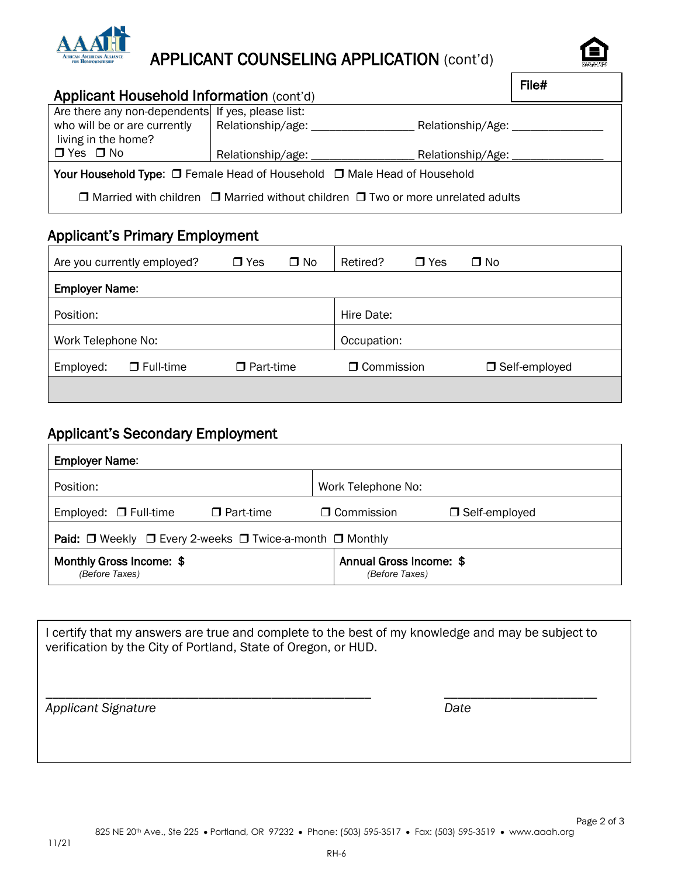

# APPLICANT COUNSELING APPLICATION (cont'd)



| Applicant Household Information (cont'd)                                                                 |                              |                                                                                                  | File# |
|----------------------------------------------------------------------------------------------------------|------------------------------|--------------------------------------------------------------------------------------------------|-------|
| Are there any non-dependents If yes, please list:<br>who will be or are currently<br>living in the home? | Relationship/age:            | Relationship/Age: ________________                                                               |       |
| $\Box$ Yes $\Box$ No                                                                                     | Relationship/age: __________ | Relationship/Age: _____                                                                          |       |
| Your Household Type: □ Female Head of Household □ Male Head of Household                                 |                              |                                                                                                  |       |
|                                                                                                          |                              | $\Box$ Married with children $\Box$ Married without children $\Box$ Two or more unrelated adults |       |

# Applicant's Primary Employment

|                       | Are you currently employed? | $\Box$ Yes       | $\Box$ No | Retired?          | $\Box$ Yes | $\Box$ No       |
|-----------------------|-----------------------------|------------------|-----------|-------------------|------------|-----------------|
| <b>Employer Name:</b> |                             |                  |           |                   |            |                 |
| Position:             |                             |                  |           | Hire Date:        |            |                 |
| Work Telephone No:    |                             |                  |           | Occupation:       |            |                 |
| Employed:             | $\Box$ Full-time            | $\Box$ Part-time |           | $\Box$ Commission |            | □ Self-employed |
|                       |                             |                  |           |                   |            |                 |

### Applicant's Secondary Employment

| <b>Employer Name:</b>                                                               |                                           |  |  |  |  |  |
|-------------------------------------------------------------------------------------|-------------------------------------------|--|--|--|--|--|
| Position:                                                                           | Work Telephone No:                        |  |  |  |  |  |
| Employed: $\Box$ Full-time<br>$\Box$ Part-time                                      | $\Box$ Commission<br>$\Box$ Self-employed |  |  |  |  |  |
| <b>Paid:</b> $\Box$ Weekly $\Box$ Every 2-weeks $\Box$ Twice-a-month $\Box$ Monthly |                                           |  |  |  |  |  |
| Monthly Gross Income: \$<br>(Before Taxes)                                          | Annual Gross Income: \$<br>(Before Taxes) |  |  |  |  |  |

I certify that my answers are true and complete to the best of my knowledge and may be subject to verification by the City of Portland, State of Oregon, or HUD.

\_\_\_\_\_\_\_\_\_\_\_\_\_\_\_\_\_\_\_\_\_\_\_\_\_\_\_\_\_\_\_\_\_\_\_\_\_\_\_\_\_\_\_\_\_\_\_\_\_ \_\_\_\_\_\_\_\_\_\_\_\_\_\_\_\_\_\_\_\_\_\_\_

*Applicant Signature Date*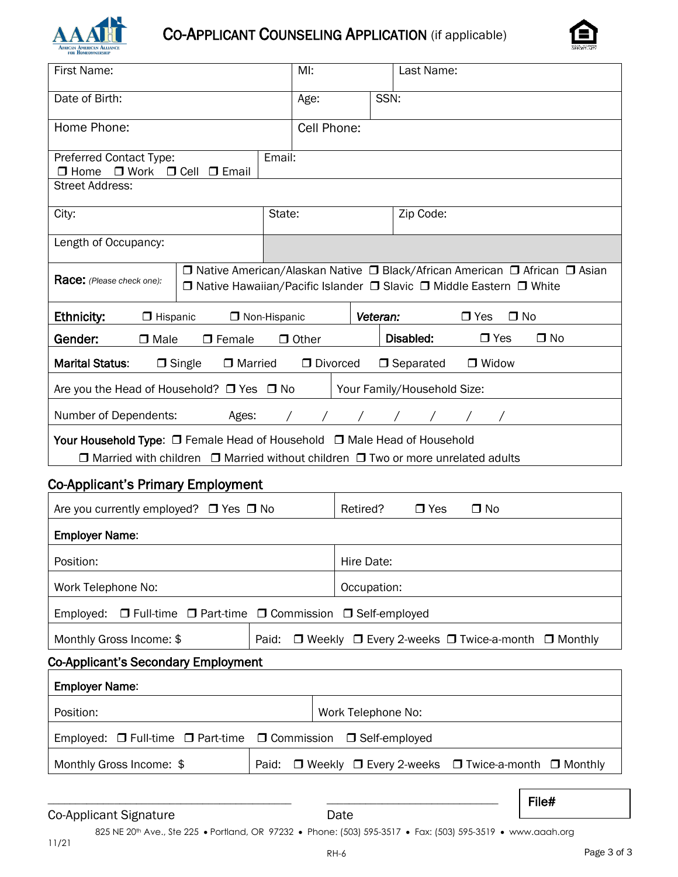

# CO-APPLICANT COUNSELING APPLICATION (if applicable)



| for Homfownfrshi                                                                                                                                                             |             |          |      |                             |                                                                                                                                                     |  |
|------------------------------------------------------------------------------------------------------------------------------------------------------------------------------|-------------|----------|------|-----------------------------|-----------------------------------------------------------------------------------------------------------------------------------------------------|--|
| First Name:                                                                                                                                                                  | MI:         |          |      | Last Name:                  |                                                                                                                                                     |  |
| Date of Birth:                                                                                                                                                               | Age:        |          | SSN: |                             |                                                                                                                                                     |  |
| Home Phone:                                                                                                                                                                  | Cell Phone: |          |      |                             |                                                                                                                                                     |  |
| Preferred Contact Type:<br>$\Box$ Work<br>$\Box$ Home<br>$\Box$ Cell $\Box$ Email                                                                                            | Email:      |          |      |                             |                                                                                                                                                     |  |
| <b>Street Address:</b>                                                                                                                                                       |             |          |      |                             |                                                                                                                                                     |  |
| State:<br>City:                                                                                                                                                              |             |          |      | Zip Code:                   |                                                                                                                                                     |  |
| Length of Occupancy:                                                                                                                                                         |             |          |      |                             |                                                                                                                                                     |  |
| Race: (Please check one):                                                                                                                                                    |             |          |      |                             | □ Native American/Alaskan Native □ Black/African American □ African □ Asian<br>□ Native Hawaiian/Pacific Islander □ Slavic □ Middle Eastern □ White |  |
| <b>Ethnicity:</b><br>$\Box$ Hispanic<br>□ Non-Hispanic                                                                                                                       |             | Veteran: |      |                             | $\Box$ Yes<br>$\Box$ No                                                                                                                             |  |
| $\Box$ No<br>Disabled:<br>$\Box$ Yes<br>Gender:<br>$\Box$ Female<br>$\Box$ Other<br>$\Box$ Male                                                                              |             |          |      |                             |                                                                                                                                                     |  |
| <b>Marital Status:</b><br>$\Box$ Single<br>□ Married                                                                                                                         | D Divorced  |          |      | $\Box$ Separated            | □ Widow                                                                                                                                             |  |
| Are you the Head of Household? □ Yes □ No                                                                                                                                    |             |          |      | Your Family/Household Size: |                                                                                                                                                     |  |
| Number of Dependents:<br>Ages:                                                                                                                                               |             |          |      | / / / / / / /               |                                                                                                                                                     |  |
| Your Household Type: □ Female Head of Household □ Male Head of Household<br>$\Box$ Married with children $\Box$ Married without children $\Box$ Two or more unrelated adults |             |          |      |                             |                                                                                                                                                     |  |
| <b>Co-Applicant's Primary Employment</b>                                                                                                                                     |             |          |      |                             |                                                                                                                                                     |  |
| Are you currently employed? $\Box$ Yes $\Box$ No                                                                                                                             |             | Retired? |      | $\Box$ Yes                  | $\Box$ No                                                                                                                                           |  |
| <b>Employer Name:</b>                                                                                                                                                        |             |          |      |                             |                                                                                                                                                     |  |
| Position:<br>Hire Date:                                                                                                                                                      |             |          |      |                             |                                                                                                                                                     |  |
| Work Telephone No:<br>Occupation:                                                                                                                                            |             |          |      |                             |                                                                                                                                                     |  |
| O Commission<br>Employed:<br>$\Box$ Self-employed<br>$\Box$ Full-time $\Box$ Part-time                                                                                       |             |          |      |                             |                                                                                                                                                     |  |
| Monthly Gross Income: \$<br>□ Weekly □ Every 2-weeks □ Twice-a-month<br>Paid:<br>$\Box$ Monthly                                                                              |             |          |      |                             |                                                                                                                                                     |  |
| <b>Co-Applicant's Secondary Employment</b>                                                                                                                                   |             |          |      |                             |                                                                                                                                                     |  |

| <b>Employer Name:</b>                                                              |  |                    |  |                                                          |  |  |
|------------------------------------------------------------------------------------|--|--------------------|--|----------------------------------------------------------|--|--|
| Position:                                                                          |  | Work Telephone No: |  |                                                          |  |  |
| Employed: $\Box$ Full-time $\Box$ Part-time $\Box$ Commission $\Box$ Self-employed |  |                    |  |                                                          |  |  |
| Monthly Gross Income: \$                                                           |  |                    |  | Paid: □ Weekly □ Every 2-weeks □ Twice-a-month □ Monthly |  |  |

#### Co-Applicant Signature Date

File#

825 NE 20<sup>th</sup> Ave., Ste 225 • Portland, OR 97232 • Phone: (503) 595-3517 • Fax: (503) 595-3519 • www.aaah.org

\_\_\_\_\_\_\_\_\_\_\_\_\_\_\_\_\_\_\_\_\_\_\_\_\_\_\_\_\_\_\_\_\_\_\_\_\_\_\_\_\_\_\_\_ \_\_\_\_\_\_\_\_\_\_\_\_\_\_\_\_\_\_\_\_\_\_\_\_\_\_\_\_\_\_\_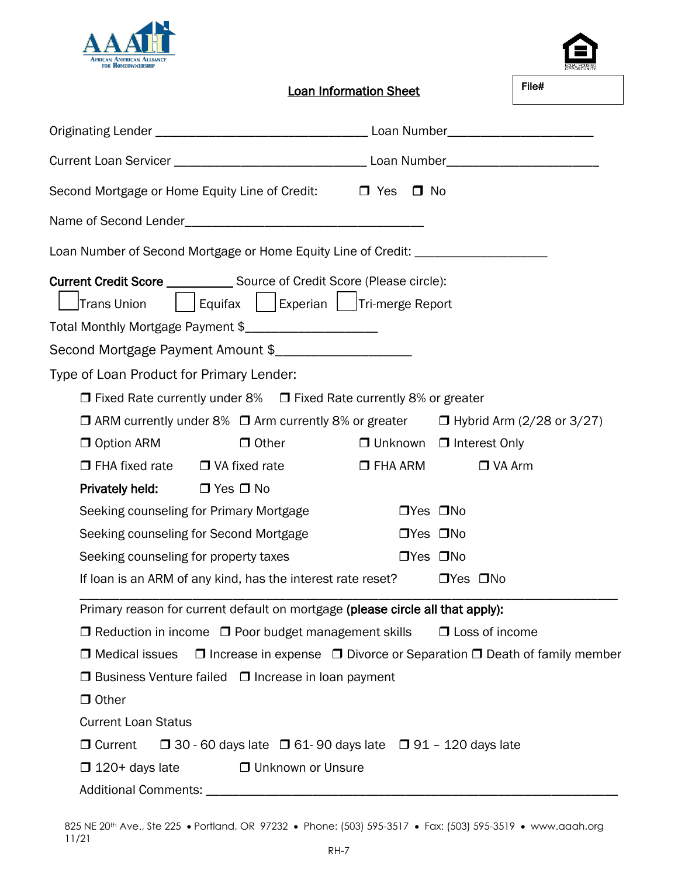



File#

Loan Information Sheet

| Second Mortgage or Home Equity Line of Credit: Dives                                                                                                                                            | $\Box$ No            |                                                                                       |
|-------------------------------------------------------------------------------------------------------------------------------------------------------------------------------------------------|----------------------|---------------------------------------------------------------------------------------|
|                                                                                                                                                                                                 |                      |                                                                                       |
| Loan Number of Second Mortgage or Home Equity Line of Credit: __________________                                                                                                                |                      |                                                                                       |
| Current Credit Score ______________ Source of Credit Score (Please circle):<br>Equifax   Experian   Tri-merge Report<br>Trans Union<br>Total Monthly Mortgage Payment \$_______________________ |                      |                                                                                       |
|                                                                                                                                                                                                 |                      |                                                                                       |
| Type of Loan Product for Primary Lender:                                                                                                                                                        |                      |                                                                                       |
| $\Box$ Fixed Rate currently under 8% $\Box$ Fixed Rate currently 8% or greater                                                                                                                  |                      |                                                                                       |
| $\Box$ ARM currently under 8% $\Box$ Arm currently 8% or greater $\Box$ Hybrid Arm (2/28 or 3/27)                                                                                               |                      |                                                                                       |
| $\Box$ Other<br>$\Box$ Option ARM                                                                                                                                                               |                      | $\Box$ Unknown $\Box$ Interest Only                                                   |
| $\Box$ FHA fixed rate $\Box$ VA fixed rate                                                                                                                                                      | $\square$ FHA ARM    | $\Box$ VA Arm                                                                         |
| <b>Privately held:</b> $\Box$ Yes $\Box$ No                                                                                                                                                     |                      |                                                                                       |
| Seeking counseling for Primary Mortgage                                                                                                                                                         | $\Box$ Yes $\Box$ No |                                                                                       |
| Seeking counseling for Second Mortgage                                                                                                                                                          | $\Box$ Yes $\Box$ No |                                                                                       |
| Seeking counseling for property taxes                                                                                                                                                           | $\Box$ Yes $\Box$ No |                                                                                       |
| If loan is an ARM of any kind, has the interest rate reset?                                                                                                                                     |                      | $\Box$ Yes $\Box$ No                                                                  |
| Primary reason for current default on mortgage (please circle all that apply):                                                                                                                  |                      |                                                                                       |
| $\Box$ Reduction in income $\Box$ Poor budget management skills                                                                                                                                 |                      | $\Box$ Loss of income                                                                 |
| $\Box$ Medical issues                                                                                                                                                                           |                      | $\Box$ Increase in expense $\Box$ Divorce or Separation $\Box$ Death of family member |
| $\Box$ Business Venture failed $\Box$ Increase in loan payment                                                                                                                                  |                      |                                                                                       |
| □ Other                                                                                                                                                                                         |                      |                                                                                       |
| <b>Current Loan Status</b>                                                                                                                                                                      |                      |                                                                                       |
| □ Current<br>$\Box$ 30 - 60 days late $\Box$ 61-90 days late $\Box$ 91 - 120 days late                                                                                                          |                      |                                                                                       |
| <b>Unknown or Unsure</b><br>$\Box$ 120+ days late                                                                                                                                               |                      |                                                                                       |
| <b>Additional Comments:</b>                                                                                                                                                                     |                      |                                                                                       |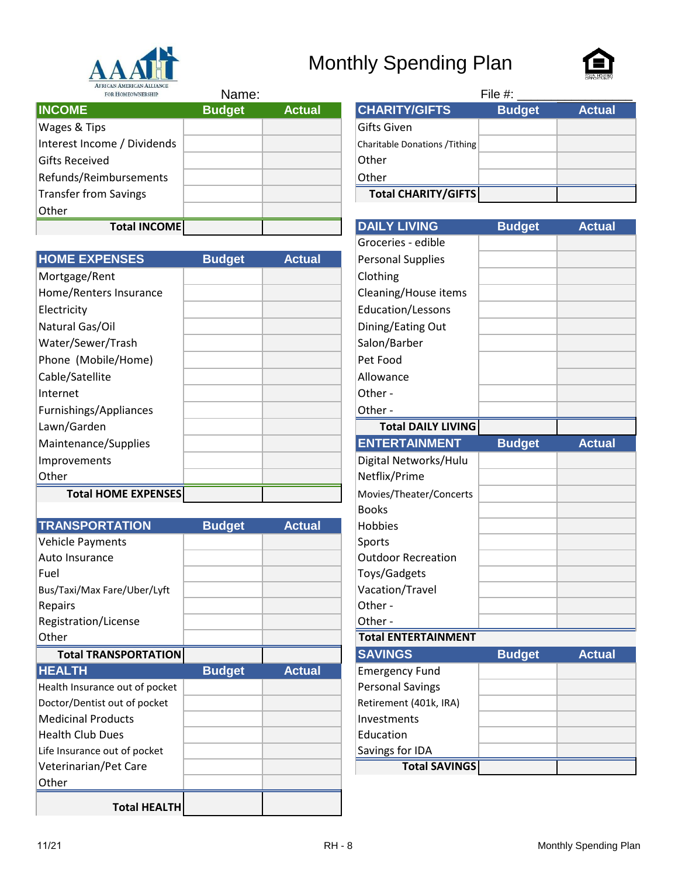

# Monthly Spending Plan



| FOR HOMEOWNERSHIP           | Name:         |               |                                | File #:       |               |
|-----------------------------|---------------|---------------|--------------------------------|---------------|---------------|
| <b>INCOME</b>               | <b>Budget</b> | <b>Actual</b> | <b>CHARITY/GIFTS</b>           | <b>Budget</b> | <b>Actual</b> |
| Wages & Tips                |               |               | Gifts Given                    |               |               |
| Interest Income / Dividends |               |               | Charitable Donations / Tithing |               |               |
| <b>Gifts Received</b>       |               |               | Other                          |               |               |
| Refunds/Reimbursements      |               |               | Other                          |               |               |
| Transfer from Savings       |               |               | Total CHARITY/GIFTS            |               |               |
| Other                       |               |               |                                |               |               |
| <b>Total INCOME</b>         |               |               | <b>DAILY LIVING</b>            | <b>Budget</b> | <b>Actual</b> |

| Name: |               |                                | File $#$ :    |               |
|-------|---------------|--------------------------------|---------------|---------------|
| dget  | <b>Actual</b> | <b>CHARITY/GIFTS</b>           | <b>Budget</b> | <b>Actual</b> |
|       |               | Gifts Given                    |               |               |
|       |               | Charitable Donations / Tithing |               |               |
|       |               | Other                          |               |               |
|       |               | Other                          |               |               |
|       |               | Total CHARITY/GIFTS            |               |               |

|                            |               |               | OI ULCITES - CUIDIC       |               |               |
|----------------------------|---------------|---------------|---------------------------|---------------|---------------|
| <b>HOME EXPENSES</b>       | <b>Budget</b> | <b>Actual</b> | <b>Personal Supplies</b>  |               |               |
| Mortgage/Rent              |               |               | Clothing                  |               |               |
| Home/Renters Insurance     |               |               | Cleaning/House items      |               |               |
| Electricity                |               |               | Education/Lessons         |               |               |
| Natural Gas/Oil            |               |               | Dining/Eating Out         |               |               |
| Water/Sewer/Trash          |               |               | Salon/Barber              |               |               |
| Phone (Mobile/Home)        |               |               | Pet Food                  |               |               |
| Cable/Satellite            |               |               | Allowance                 |               |               |
| Internet                   |               |               | Other -                   |               |               |
| Furnishings/Appliances     |               |               | Other -                   |               |               |
| Lawn/Garden                |               |               | <b>Total DAILY LIVING</b> |               |               |
| Maintenance/Supplies       |               |               | <b>ENTERTAINMENT</b>      | <b>Budget</b> | <b>Actual</b> |
| Improvements               |               |               | Digital Networks/Hulu     |               |               |
| Other                      |               |               | Netflix/Prime             |               |               |
| <b>Total HOME EXPENSES</b> |               |               | Movies/Theater/Concerts   |               |               |

|                                |               |               | ייטש                       |               |               |
|--------------------------------|---------------|---------------|----------------------------|---------------|---------------|
| <b>TRANSPORTATION</b>          | <b>Budget</b> | <b>Actual</b> | <b>Hobbies</b>             |               |               |
| <b>Vehicle Payments</b>        |               |               | Sports                     |               |               |
| Auto Insurance                 |               |               | <b>Outdoor Recreation</b>  |               |               |
| Fuel                           |               |               | Toys/Gadgets               |               |               |
| Bus/Taxi/Max Fare/Uber/Lyft    |               |               | Vacation/Travel            |               |               |
| Repairs                        |               |               | Other-                     |               |               |
| Registration/License           |               |               | Other-                     |               |               |
| Other                          |               |               | <b>Total ENTERTAINMENT</b> |               |               |
| <b>Total TRANSPORTATION</b>    |               |               | <b>SAVINGS</b>             | <b>Budget</b> | <b>Actual</b> |
| <b>HEALTH</b>                  | <b>Budget</b> | <b>Actual</b> | <b>Emergency Fund</b>      |               |               |
| Health Insurance out of pocket |               |               | <b>Personal Savings</b>    |               |               |
| Doctor/Dentist out of pocket   |               |               | Retirement (401k, IRA)     |               |               |
| <b>Medicinal Products</b>      |               |               | Investments                |               |               |
| <b>Health Club Dues</b>        |               |               | Education                  |               |               |
| Life Insurance out of pocket   |               |               | Savings for IDA            |               |               |
| Veterinarian/Pet Care          |               |               | <b>Total SAVINGS</b>       |               |               |
| Other                          |               |               |                            |               |               |
| <b>Total HEALTH</b>            |               |               |                            |               |               |

| <b>Total INCOME</b> |               |               | <b>DAILY LIVING</b>        | <b>Budget</b> | <b>Actual</b> |
|---------------------|---------------|---------------|----------------------------|---------------|---------------|
|                     |               |               | Groceries - edible         |               |               |
| <b>NSES</b>         | <b>Budget</b> | <b>Actual</b> | <b>Personal Supplies</b>   |               |               |
| t                   |               |               | Clothing                   |               |               |
| Insurance           |               |               | Cleaning/House items       |               |               |
|                     |               |               | Education/Lessons          |               |               |
| il                  |               |               | Dining/Eating Out          |               |               |
| Trash               |               |               | Salon/Barber               |               |               |
| e/Home)             |               |               | Pet Food                   |               |               |
|                     |               |               | Allowance                  |               |               |
|                     |               |               | Other-                     |               |               |
| opliances           |               |               | Other-                     |               |               |
|                     |               |               | <b>Total DAILY LIVING</b>  |               |               |
| <b>Supplies</b>     |               |               | <b>ENTERTAINMENT</b>       | <b>Budget</b> | <b>Actual</b> |
|                     |               |               | Digital Networks/Hulu      |               |               |
|                     |               |               | Netflix/Prime              |               |               |
| <b>ME EXPENSES</b>  |               |               | Movies/Theater/Concerts    |               |               |
|                     |               |               | <b>Books</b>               |               |               |
| <b>TATION</b>       | <b>Budget</b> | <b>Actual</b> | Hobbies                    |               |               |
| nts                 |               |               | Sports                     |               |               |
| e                   |               |               | <b>Outdoor Recreation</b>  |               |               |
|                     |               |               | Toys/Gadgets               |               |               |
| are/Uber/Lyft       |               |               | Vacation/Travel            |               |               |
|                     |               |               | Other-                     |               |               |
| icense              |               |               | Other-                     |               |               |
|                     |               |               | <b>Total ENTERTAINMENT</b> |               |               |
| <b>NSPORTATION</b>  |               |               | <b>SAVINGS</b>             | <b>Budget</b> | <b>Actual</b> |
|                     | <b>Budget</b> | <b>Actual</b> | <b>Emergency Fund</b>      |               |               |
| e out of pocket     |               |               | <b>Personal Savings</b>    |               |               |
| out of pocket       |               |               | Retirement (401k, IRA)     |               |               |
| ducts               |               |               | Investments                |               |               |
| ies                 |               |               | Education                  |               |               |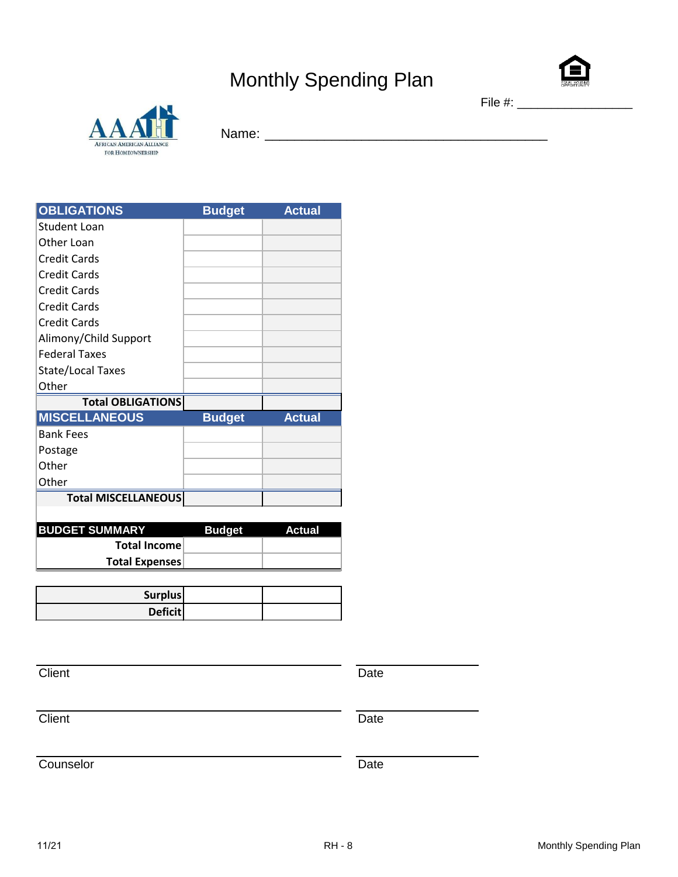# Monthly Spending Plan



AFRICAN AMERICAN ALLIANCE FOR HOMEOWNERSHIP

Name: \_\_\_\_\_\_\_\_\_\_\_\_\_\_\_\_\_\_\_\_\_\_\_\_\_\_\_\_\_\_\_\_\_\_\_\_\_\_

| <b>OBLIGATIONS</b>         | <b>Budget</b> | <b>Actual</b> |
|----------------------------|---------------|---------------|
| Student Loan               |               |               |
| Other Loan                 |               |               |
| Credit Cards               |               |               |
| <b>Credit Cards</b>        |               |               |
| Credit Cards               |               |               |
| <b>Credit Cards</b>        |               |               |
| <b>Credit Cards</b>        |               |               |
| Alimony/Child Support      |               |               |
| <b>Federal Taxes</b>       |               |               |
| <b>State/Local Taxes</b>   |               |               |
| Other                      |               |               |
| <b>Total OBLIGATIONS</b>   |               |               |
| <b>MISCELLANEOUS</b>       | <b>Budget</b> | <b>Actual</b> |
| <b>Bank Fees</b>           |               |               |
| Postage                    |               |               |
| Other                      |               |               |
| Other                      |               |               |
| <b>Total MISCELLANEOUS</b> |               |               |
|                            |               |               |

| <b>IBUDGET SUMMARY</b> | <b>Budget</b> | Actual |
|------------------------|---------------|--------|
| Total Income           |               |        |
| Total Expenses         |               |        |

| <b>Surplus</b> |  |
|----------------|--|
| <b>Deficit</b> |  |

Client Date **Date** 

Client Date **Date** 

Counselor Date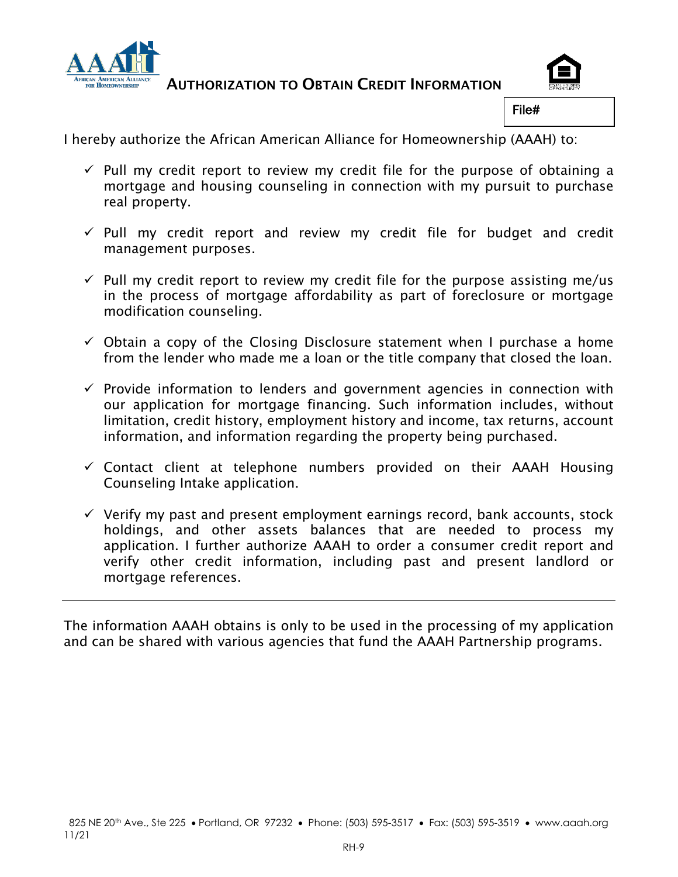

AUTHORIZATION TO OBTAIN CREDIT INFORMATION



File#

I hereby authorize the African American Alliance for Homeownership (AAAH) to:

- $\checkmark$  Pull my credit report to review my credit file for the purpose of obtaining a mortgage and housing counseling in connection with my pursuit to purchase real property.
- $\checkmark$  Pull my credit report and review my credit file for budget and credit management purposes.
- $\checkmark$  Pull my credit report to review my credit file for the purpose assisting me/us in the process of mortgage affordability as part of foreclosure or mortgage modification counseling.
- $\checkmark$  Obtain a copy of the Closing Disclosure statement when I purchase a home from the lender who made me a loan or the title company that closed the loan.
- $\checkmark$  Provide information to lenders and government agencies in connection with our application for mortgage financing. Such information includes, without limitation, credit history, employment history and income, tax returns, account information, and information regarding the property being purchased.
- $\checkmark$  Contact client at telephone numbers provided on their AAAH Housing Counseling Intake application.
- $\checkmark$  Verify my past and present employment earnings record, bank accounts, stock holdings, and other assets balances that are needed to process my application. I further authorize AAAH to order a consumer credit report and verify other credit information, including past and present landlord or mortgage references.

The information AAAH obtains is only to be used in the processing of my application and can be shared with various agencies that fund the AAAH Partnership programs.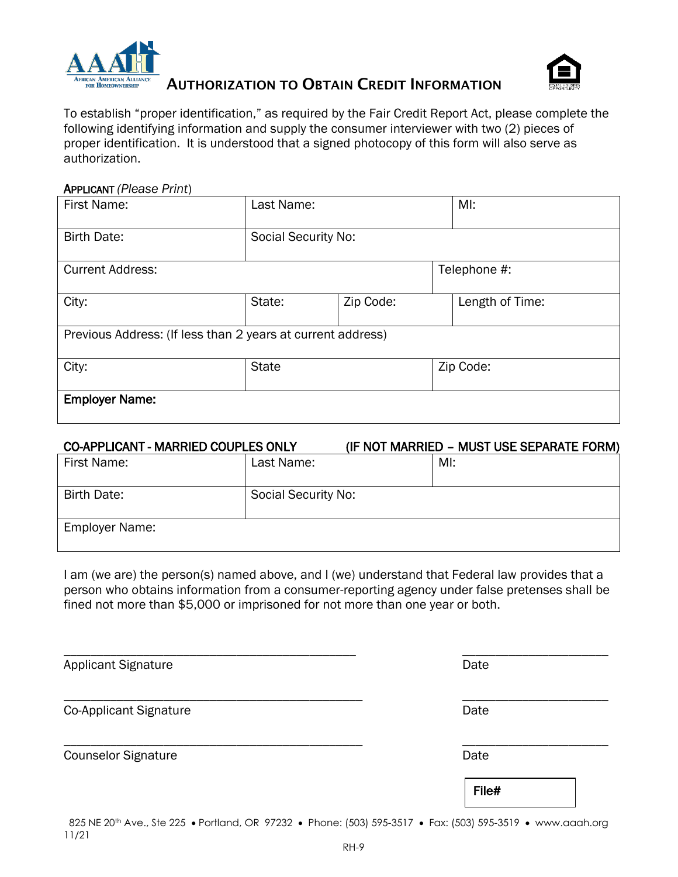



AUTHORIZATION TO OBTAIN CREDIT INFORMATION

To establish "proper identification," as required by the Fair Credit Report Act, please complete the following identifying information and supply the consumer interviewer with two (2) pieces of proper identification. It is understood that a signed photocopy of this form will also serve as authorization.

#### APPLICANT *(Please Print*)

| First Name:                                                 | Last Name:                 |           | MI:          |                 |  |
|-------------------------------------------------------------|----------------------------|-----------|--------------|-----------------|--|
| <b>Birth Date:</b>                                          | <b>Social Security No:</b> |           |              |                 |  |
| <b>Current Address:</b>                                     |                            |           | Telephone #: |                 |  |
| City:                                                       | State:                     | Zip Code: |              | Length of Time: |  |
| Previous Address: (If less than 2 years at current address) |                            |           |              |                 |  |
| City:                                                       | <b>State</b>               |           | Zip Code:    |                 |  |
| <b>Employer Name:</b>                                       |                            |           |              |                 |  |

#### CO-APPLICANT - MARRIED COUPLES ONLY (IF NOT MARRIED – MUST USE SEPARATE FORM)

| First Name:           | Last Name:          | MI: |
|-----------------------|---------------------|-----|
| Birth Date:           | Social Security No: |     |
| <b>Employer Name:</b> |                     |     |

I am (we are) the person(s) named above, and I (we) understand that Federal law provides that a person who obtains information from a consumer-reporting agency under false pretenses shall be fined not more than \$5,000 or imprisoned for not more than one year or both.

\_\_\_\_\_\_\_\_\_\_\_\_\_\_\_\_\_\_\_\_\_\_\_\_\_\_\_\_\_\_\_\_\_\_\_\_\_\_\_\_\_\_\_\_ \_\_\_\_\_\_\_\_\_\_\_\_\_\_\_\_\_\_\_\_\_\_

\_\_\_\_\_\_\_\_\_\_\_\_\_\_\_\_\_\_\_\_\_\_\_\_\_\_\_\_\_\_\_\_\_\_\_\_\_\_\_\_\_\_\_\_\_ \_\_\_\_\_\_\_\_\_\_\_\_\_\_\_\_\_\_\_\_\_\_

\_\_\_\_\_\_\_\_\_\_\_\_\_\_\_\_\_\_\_\_\_\_\_\_\_\_\_\_\_\_\_\_\_\_\_\_\_\_\_\_\_\_\_\_\_ \_\_\_\_\_\_\_\_\_\_\_\_\_\_\_\_\_\_\_\_\_\_

Applicant Signature **Date** 

Co-Applicant Signature Date Date Date

Counselor Signature **Date** 

File#

825 NE 20th Ave., Ste 225 • Portland, OR 97232 • Phone: (503) 595-3517 • Fax: (503) 595-3519 • www.aaah.org 11/21